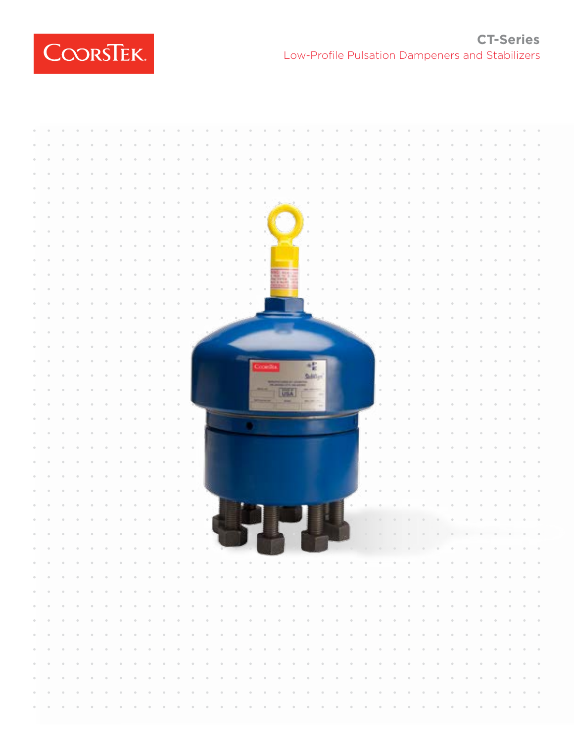